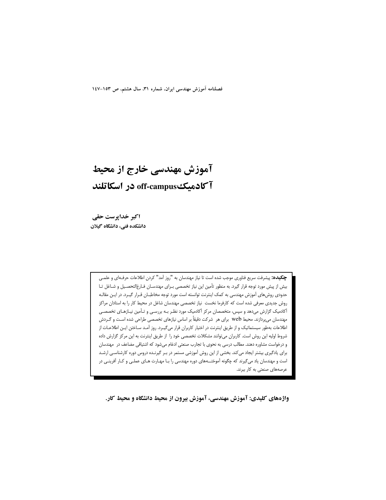فصلنامه آموزش مهندسی ایران، شماره ۳۱، سال هشتم، ص ۱۵۳-۱٤۷

# آموزش مهندسی خارج از محیط آکادمیک off-campus در اسکاتلند

اکبر خداپرست حقی دانشکده فنی، دانشگاه گیلان

> **چکیده:** پیشرفت سریع فناوری موجب شده است تا نیاز مهندسان به "روز آمد" کردن اطلاعات حرفـهای و علمـی بیش از پیش مورد توجه قرار گیرد. به منظور تأمین این نیاز تخصصی بـرای مهندسـان فـارغالتحصـیل و شـاغل تـا حدودی روشهای آموزش مهندسی به کمک اینترنت توانسته است مورد توجه مخاطبـان قـرار گیـرد. در ایـن مقالـه روش جدیدی معرفی شده است که کارفرما نخست نیاز تخصصی مهندسان شاغل در محیط کار را به استادان مراکز آکادمیک گزارش میدهد و سپس، متخصصان مرکز آکادمیک مورد نظـر بـه بررسـی و تـأمین نیـازهـای تخصصـی مهندسان میپردازند. محیط web برای هر شرکت دقیقاً بر اساس نیازهای تخصصی طراحی شده است و گـردش اطلاعات بهطور سیستماتیک و از طریق اینترنت در اختیار کاربران قرار میگیرد. روز آمـد سـاختن ایـن اطلاعـات از شروط اولیه این روش است. کاربران می توانند مشکلات تخصصی خود را از طریق اینترنت به این مرکز گزارش داده و درخواست مشاوره دهند. مطالب درسی به نحوی با تجارب صنعتی ادغام میشود که اشتیاقی مضاعف در مهندسان برای یادگیری بیشتر ایجاد می کند. بخشی از این روش آموزشی مستمر در بـر گیرنـده دروس دوره کارشناسـی ارشـد است و مهندسان یاد میگیرند که چگونه آموختــههای دوره مهندسی را بـا مهـارت هـای عملـی و کـار آفرینـی در عرصههای صنعتی به کار ببرند.

واژههای کلیدی: آموزش مهندسی، آموزش بیرون از محیط دانشگاه و محیط کار.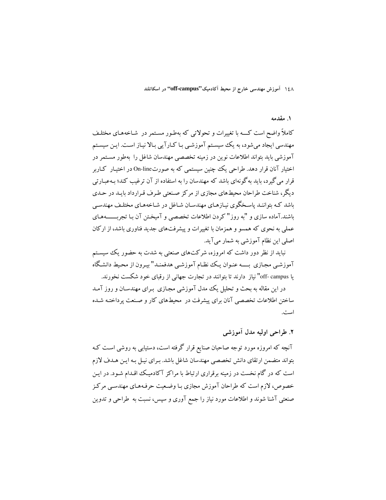۱٤٨ آموزش مهندسی خارج از محیط آکادمیک"off-campus" در اسکاتلند

#### ۱. مقدمه

کاملاً واضح است کـــه با تغییرات و تحولاتی که بهطـور مسـتمر در شـاخههـای مختلـف مهندسی ایجاد میشود، به یک سیستم آموزشی با کـارآیی بـالا نیـاز اسـت. ایـن سیسـتم آموزشی باید بتواند اطلاعات نوین در زمینه تخصصی مهندسان شاغل را بهطور مستمر در اختیار آنان قرار دهد. طراحی یک چنین سیستمی که به صورتOn-line در اختیـار کـاربر قرار می گیرد، باید به گونهای باشد که مهندسان را به استفاده از آن ترغیب کند؛ بـهعبـار تبی دیگر، شناخت طراحان محیطهای مجازی از مرکز صنعتی طرف قرارداد بایـد در حـدی ىاشد كـه ىتواننـد ياسـخگوي نيـازهـاي مهندسـان شـاغل در شـاخههـاي مختلـف مهندسـي باشند.آماده سازی و "به روز" کردن اطلاعات تخصصی و آمیخـتن آن بـا تجربـــــــههـای عملی به نحوی که همسو و همزمان با تغییرات و پیشرفتهای جدید فناوری باشد، از ارکان اصلي اين نظام آموزشي به شمار مي آيد.

نباید از نظر دور داشت که امروزه، شرکتهای صنعتی به شدت به حضور یک سیستم آموزشبی مجبازی بسبه عنبوان یک نظیام آموزشبی هدفمنید" سرون از محیط دانشگاه یا off- campus" نیاز دارند تا بتوانند در تجارت جهانی از رقبای خود شکست نخورند.

در این مقاله به بحث و تحلیل یک مدل آموزشی مجازی بـرای مهندسـان و روز آمـد ساختن اطلاعات تخصصي آنان براي پيشرفت در محيطهاي كار و صنعت پرداختـه شـده است.

## ٢. طراحي اوليه مدل أموزشي

آنچه که امروزه مورد توجه صاحبان صنایع قرار گرفته است، دستیابی به روشی است کـه بتواند متضمن ارتقاي دانش تخصصي مهندسان شاغل باشد. بـراي نيـل بـه ايـن هـدف لازم است که در گام نخست در زمینه برقراری ارتباط با مراکز آکادمیک اقـدام شـود. در ایـن خصوص، لازم است که طراحان آموزش مجازی بـا وضـعیت حرفـههـای مهندسـی مرکـز صنعتی آشنا شوند و اطلاعات مورد نیاز را جمع آوری و سپس، نسبت به طراحی و تدوین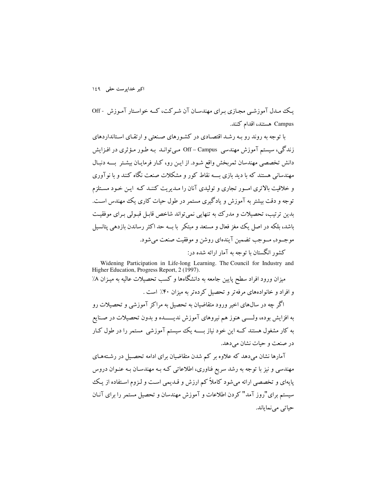#### اکبر خداپرست حقی ۱٤۹

یک مدل آموزشبی مجازی به ای مهندسان آن شه کت، کــه خواسـتار آمـوزش - Off Campus هستند، اقدام كنند.

با توجه به روند رو بـه رشـد اقتصـادي در كشـورهاي صـنعتبي و ارتقـاي اسـتانداردهاي زندگی، سیستم آموزش مهندسی Off – Campus مبی توانـد بـه طـور مـؤثری در افـزایش دانش تخصصی مهندسان ثمربخش واقع شـود. از ایـن رو، کـار فرمایـان بیشـتر بــــه دنبـال مهندسانی هستند که با دید بازی بـــه نقاط کور و مشکلات صنعت نگاه کنند و با نو آوری و خلاقیت بالاتری امـور تجاری و تولیدی آنان را مـدیریت کننـد کـه ایـن خـود مسـتلزم توجه و دقت بیشتر به آموزش و یادگیری مستمر در طول حیات کاری یک مهندس است. بدین ترتیب، تحصیلات و مدرک به تنهایی نمی تواند شاخص قابـل قبـولی بـرای موفقیـت باشد، بلکه در اصل یک مغز فعال و مستعد و مبتکر با بــه حد اکثر رساندن بازدهی یتانسیل موجــود, مــوجب تضمين آيندهاي روشن و موفقيت صنعت مي شود. کشور انگستان با توجه به آمار ارائه شده در:

Widening Participation in Life-long Learning. The Council for Industry and Higher Education, Progress Report, 2 (1997). میزان ورود افراد سطح پایین جامعه به دانشگاهها و کسب تحصیلات عالیه به میزان ۸٪ و افراد و خانوادههای مرفه تر و تحصیل کرده تر به میزان ۴۰٪ است .

اگر چه در سال0های اخیر ورود متقاضیان به تحصیل به مراکز آموزشی و تحصیلات رو به افزایش بوده، ولـــــى هنوز هم نیروهاى آموزش ندیــــــده و بدون تحصیلات در صـنایع به کار مشغول هستند کــه این خود نیاز بـــــه یک سیستم آموزشی مستمر را در طول کـار در صنعت و حبات نشان می دهد.

آمارها نشان میدهد که علاوه بر کم شدن متقاضیان برای ادامه تحصـیل در رشـتههـای مهندسی و نیز با توجه به رشد سریع فناوری، اطلاعاتی کـه بـه مهندسـان بـه عنـوان دروس پایهای و تخصصی ارائه میشود کاملاً کم ارزش و قـدیمی اسـت و لـزوم اسـتفاده از یـک سیستم برای"روز آمد" کردن اطلاعات و آموزش مهندسان و تحصیل مستمر را برای آنـان حياتي مي نماياند.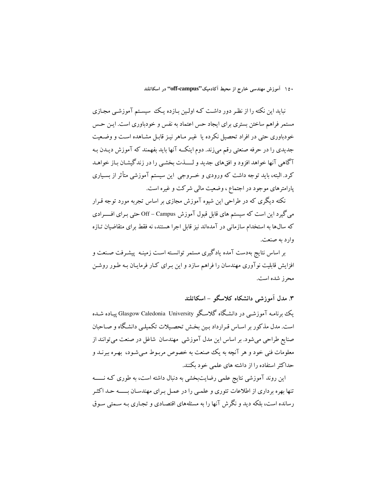۱۵۰ آموزش مهندسی خارج از محیط آکادمیک''off-campus'' در اسکاتلند

نباید این نکته را از نظر دور داشت کـه اولـین بـازده یـک سیسـتم آموزشـی مجـازی مستمر فراهم ساختن بسترى براى ايجاد حس اعتماد به نفس و خودباورى است. ايـن حـس خودباوری حتی در افراد تحصیل نکرده یا غیـر مـاهر نیـز قابـل مشـاهده اسـت و وضـعیت جدیدی را در حرفه صنعتی رقم می;ند. دوم اینکــه آنها باید بفهمند که آموزش دیـدن بـه آگاهی آنها خواهد افزود و افقهای جدید و لـــــذت بخشـی را در زندگیشـان بـاز خواهــد کرد. البته، باید توجه داشت که ورودی و خــروجی این سیستم آموزشی متأثر از بسـیاری پارامترهای موجود در اجتماع ، وضعیت مالی شرکت و غیره است.

نکته دیگری که در طراحی این شیوه آموزش مجازی بر اساس تجربه مورد توجه قـرار میگیرد این است که سیستم های قابل قبول آموزش Off – Campus حتی بـرای افـــــرادی که سالها به استخدام سازمانی در آمدهاند نیز قابل اجرا هستند، نه فقط برای متقاضیان تـازه وارد به صنعت.

بر اساس نتایج بهدست آمده یادگیری مستمر توانسـته اسـت زمینـه پیشـرفت صـنعت و افزایش قابلیت نوآوری مهندسان را فراهم سازد و این بـرای کـار فرمایـان بـه طـور روشـن محرز شده است.

۳. مدل آموزشی دانشکاه کلاسگو – اسکاتلند

ىك ىہ نامــه آموزشــے در دانشـگاه گلاسـگو Glasgow Caledonia University ييــاده شــده است. مدل مذکور بر اسـاس قـرارداد بـین بخـش تحصـیلات تکمیلـی دانشـگاه و صـاحبان صنایع طراحی میشود. بر اساس این مدل آموزشی ًمهندسان شاغل در صنعت می توانند از معلومات فني خود و هر آنچه به يک صنعت به خصوص مربـوط مـي شـود، بهـره ببرنــد و حداکثر استفاده را از داشته های علمی خود بکنند.

این روند آموزشی نتایج علمی رضایتبخشی به دنبال داشته است، به طوری کـه نــــــه تنها بهره برداری از اطلاعات تئوری و علمی را در عمـل بـرای مهندسـان بـــــه حـد اکثـر رسانده است، بلکه دید و نگرش آنها را به مسئلههای اقتصـادی و تجـاری بـه سـمتی سـوق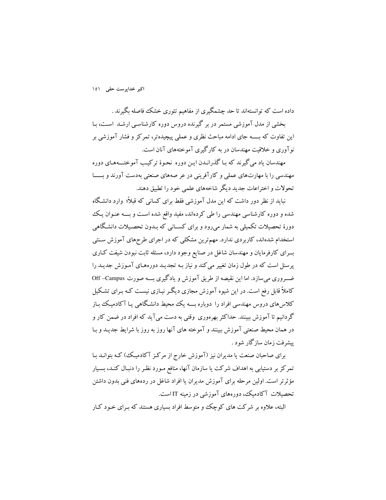اکبر خداپرست حقی ۱۵۱

داده است که توانستهاند تا حد چشمگیری از مفاهیم تئوری خشک فاصله بگیرند . بخشی از مدل آموزشی مستمر در بر گیرنده دروس دوره کارشناسـی ارشـد اسـت، بـا این تفاوت که بـــــه جای ادامه مباحث نظری و عملی پیچیدهتر، تمرکز و فشار آموزشی بر نو آوری و خلاقت مهندسان در به کارگیری آموختههای آنان است.

مهندسان یاد می گیرند که بـا گذرانـدن ایـن دوره نحـوهٔ ترکیـب آموختـــههـای دوره مهندسی را با مهارتهای عملی و کارآفرینی در عر صههای صنعتی بهدست آورند و بــــا تحولات و اختراعات جدید دیگر شاخههای علمی خود را تطبیق دهند.

نباید از نظر دور داشت که این مدل آموزشی فقط برای کسانی که قبلاً؛ وارد دانشگاه شده و دوره کارشناسی مهندسی را طی کردهاند، مفید واقع شده است و بـــه عنـوان یـک دورهٔ تحصیلات تکمیلی به شمار می٫رود و برای کســانی که بـدون تحصـیلات دانشـگاهی استخدام شدهاند، کاربردی ندارد. مهمترین مشکلی که در اجرای طرحهای آموزش سـنتی بسرای کارفرمایان و مهندسان شاغل در صنایع وجود دارد، مسئله ثابت نبودن شیفت کـاری یرسنل است که در طول زمان تغییر می کند و نیاز بـه تجدیـد دورههـای آمـوزش جدیـد را ضہ وری می سازد. اما این نقیصه از طریق آموزش و یادگیری بـــه صورت Off –Campus کاملاً قابل رفع است. در این شیوه آموزش مجازی دیگر نیـازی نیسـت کـه بـرای تشـکیل کلاس های دروس مهندسی افراد را دوباره بـــه یک محیط دانشگاهی یـا آکادمیـک بـاز گردانیم تا آموزش ببینند. حداکثر بهرهوری وقتی به دست می آید که افراد در ضمن کار و در همان محیط صنعتی آموزش ببینند و آموخته های آنها روز به روز با شرایط جدیـد و بـا يىشرفت زمان سازگار شود .

برای صاحبان صنعت یا مدیران نیز (آموزش خارج از مرکـز آکادمیـک) کـه بتوانــد بـا تمرکز بر دستیابی به اهداف شرکت یا سازمان آنها، منافع مـورد نظـر را دنبـال کنـد، بسـیار مؤثرتر است. اولین مرحله برای آموزش مدیران یا افراد شاغل در ردههای فنی بدون داشتن تحصیلات آکادمیک، دورههای آموزشی در زمینه IT است.

البته، علاوه بر شرکت های کوچک و متوسط افراد بساری هستند که بیرای خبود کبار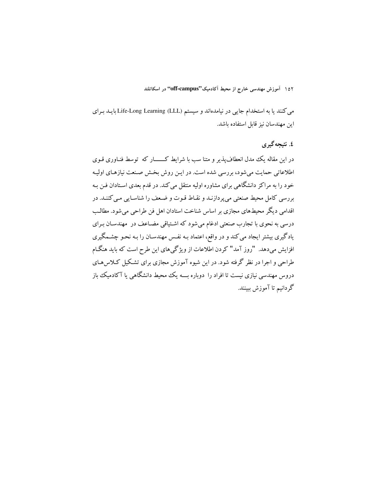۱۵۲ آموزش مهندسی خارج از محیط آکادمیک''off-campus'' در اسکاتلند

مي كنند يا به استخدام جايبي در نيامدهاند و سيستم (Life-Long Learning (LLL بايـد بـراي این مهندسان نیز قابل استفاده باشد.

### ٤. نتيجه گيري

در این مقاله یک مدل انعطاف پذیر و متنا سب با شرایط کــــار که توسط فنـاوری قـوی اطلاعاتي حمايت مي شود، بررسي شده است. در اين روش بخش صنعت نيازهـاي اوليـه خود را به مراکز دانشگاهی برای مشاوره اولیه منتقل میکند. در قدم بعدی اسـتادان فـن بـه بررسي كامل محيط صنعتي مي يردازنـد و نقـاط قـوت و ضـعف را شناسـايي مـي كننـد. در اقدامی دیگر محیطهای مجازی بر اساس شناخت استادان اهل فن طراحی می شود. مطالب درسی به نحوی با تجارب صنعتی ادغام میشود که اشـتیاقی مضـاعف در مهندسـان بـرای یادگیری بیشتر ایجاد می کند و در واقع، اعتماد بـه نفـس مهندسـان را بـه نحـو چشــمگیری افزایش میدهد. "روز آمد" کردن اطلاعات از ویژگیهای این طرح است که باید هنگـام طراحی و اجرا در نظر گرفته شود. در این شیوه آموزش مجازی برای تشکیل کـلاس۵مـای دروس مهندسی نیازی نیست تا افراد را دوباره بـــه یک محیط دانشگاهی یا آکادمیک باز گردانیم تا آموزش ببینند.